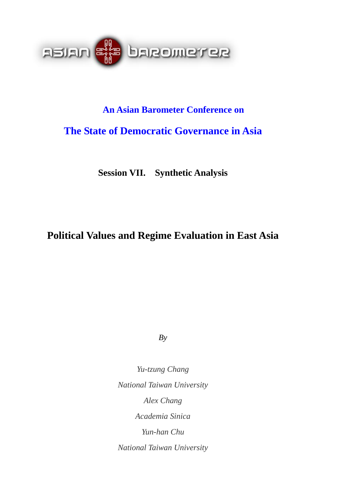

# **An Asian Barometer Conference on**

# **The State of Democratic Governance in Asia**

**Session VII. Synthetic Analysis** 

# **Political Values and Regime Evaluation in East Asia**

*By* 

*Yu-tzung Chang National Taiwan University Alex Chang Academia Sinica Yun-han Chu National Taiwan University*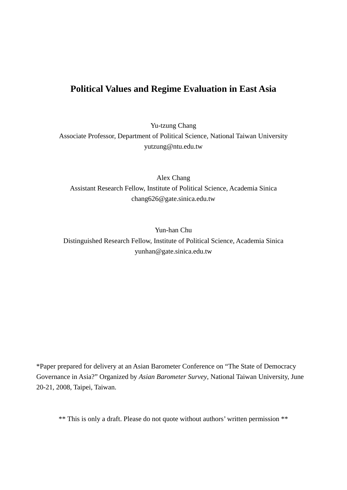# **Political Values and Regime Evaluation in East Asia**

Yu-tzung Chang Associate Professor, Department of Political Science, National Taiwan University yutzung@ntu.edu.tw

Alex Chang Assistant Research Fellow, Institute of Political Science, Academia Sinica chang626@gate.sinica.edu.tw

Yun-han Chu Distinguished Research Fellow, Institute of Political Science, Academia Sinica yunhan@gate.sinica.edu.tw

\*Paper prepared for delivery at an Asian Barometer Conference on "The State of Democracy Governance in Asia?" Organized by *Asian Barometer Survey*, National Taiwan University, June 20-21, 2008, Taipei, Taiwan.

\*\* This is only a draft. Please do not quote without authors' written permission \*\*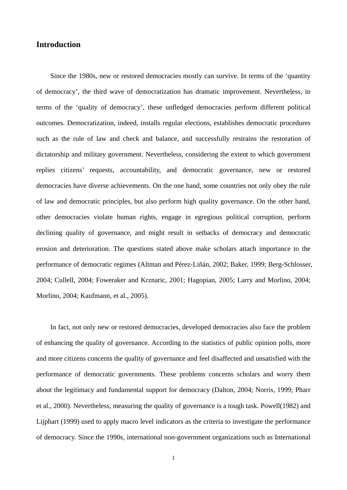### **Introduction**

Since the 1980s, new or restored democracies mostly can survive. In terms of the 'quantity of democracy', the third wave of democratization has dramatic improvement. Nevertheless, in terms of the 'quality of democracy', these unfledged democracies perform different political outcomes. Democratization, indeed, installs regular elections, establishes democratic procedures such as the rule of law and check and balance, and successfully restrains the restoration of dictatorship and military government. Nevertheless, considering the extent to which government replies citizens' requests, accountability, and democratic governance, new or restored democracies have diverse achievements. On the one hand, some countries not only obey the rule of law and democratic principles, but also perform high quality governance. On the other hand, other democracies violate human rights, engage in egregious political corruption, perform declining quality of governance, and might result in setbacks of democracy and democratic erosion and deterioration. The questions stated above make scholars attach importance to the performance of democratic regimes (Altman and Pérez-Liñán, 2002; Baker, 1999; Berg-Schlosser, 2004; Cullell, 2004; Foweraker and Krznaric, 2001; Hagopian, 2005; Larry and Morlino, 2004; Morlino, 2004; Kaufmann, et al., 2005).

In fact, not only new or restored democracies, developed democracies also face the problem of enhancing the quality of governance. According to the statistics of public opinion polls, more and more citizens concerns the quality of governance and feel disaffected and unsatisfied with the performance of democratic governments. These problems concerns scholars and worry them about the legitimacy and fundamental support for democracy (Dalton, 2004; Norris, 1999; Pharr et al., 2000). Nevertheless, measuring the quality of governance is a tough task. Powell(1982) and Lijphart (1999) used to apply macro level indicators as the criteria to investigate the performance of democracy. Since the 1990s, international non-government organizations such as International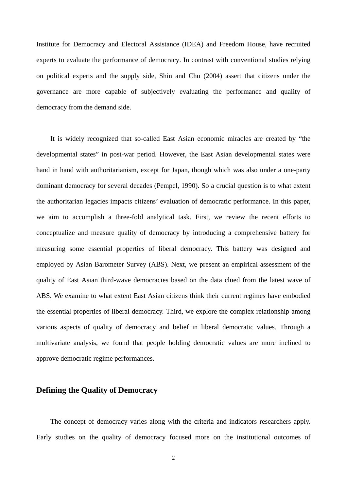Institute for Democracy and Electoral Assistance (IDEA) and Freedom House, have recruited experts to evaluate the performance of democracy. In contrast with conventional studies relying on political experts and the supply side, Shin and Chu (2004) assert that citizens under the governance are more capable of subjectively evaluating the performance and quality of democracy from the demand side.

It is widely recognized that so-called East Asian economic miracles are created by "the developmental states" in post-war period. However, the East Asian developmental states were hand in hand with authoritarianism, except for Japan, though which was also under a one-party dominant democracy for several decades (Pempel, 1990). So a crucial question is to what extent the authoritarian legacies impacts citizens' evaluation of democratic performance. In this paper, we aim to accomplish a three-fold analytical task. First, we review the recent efforts to conceptualize and measure quality of democracy by introducing a comprehensive battery for measuring some essential properties of liberal democracy. This battery was designed and employed by Asian Barometer Survey (ABS). Next, we present an empirical assessment of the quality of East Asian third-wave democracies based on the data clued from the latest wave of ABS. We examine to what extent East Asian citizens think their current regimes have embodied the essential properties of liberal democracy. Third, we explore the complex relationship among various aspects of quality of democracy and belief in liberal democratic values. Through a multivariate analysis, we found that people holding democratic values are more inclined to approve democratic regime performances.

#### **Defining the Quality of Democracy**

The concept of democracy varies along with the criteria and indicators researchers apply. Early studies on the quality of democracy focused more on the institutional outcomes of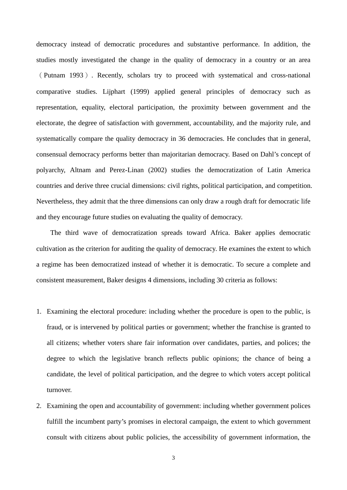democracy instead of democratic procedures and substantive performance. In addition, the studies mostly investigated the change in the quality of democracy in a country or an area (Putnam 1993). Recently, scholars try to proceed with systematical and cross-national comparative studies. Lijphart (1999) applied general principles of democracy such as representation, equality, electoral participation, the proximity between government and the electorate, the degree of satisfaction with government, accountability, and the majority rule, and systematically compare the quality democracy in 36 democracies. He concludes that in general, consensual democracy performs better than majoritarian democracy. Based on Dahl's concept of polyarchy, Altnam and Perez-Linan (2002) studies the democratization of Latin America countries and derive three crucial dimensions: civil rights, political participation, and competition. Nevertheless, they admit that the three dimensions can only draw a rough draft for democratic life and they encourage future studies on evaluating the quality of democracy.

The third wave of democratization spreads toward Africa. Baker applies democratic cultivation as the criterion for auditing the quality of democracy. He examines the extent to which a regime has been democratized instead of whether it is democratic. To secure a complete and consistent measurement, Baker designs 4 dimensions, including 30 criteria as follows:

- 1. Examining the electoral procedure: including whether the procedure is open to the public, is fraud, or is intervened by political parties or government; whether the franchise is granted to all citizens; whether voters share fair information over candidates, parties, and polices; the degree to which the legislative branch reflects public opinions; the chance of being a candidate, the level of political participation, and the degree to which voters accept political turnover.
- 2. Examining the open and accountability of government: including whether government polices fulfill the incumbent party's promises in electoral campaign, the extent to which government consult with citizens about public policies, the accessibility of government information, the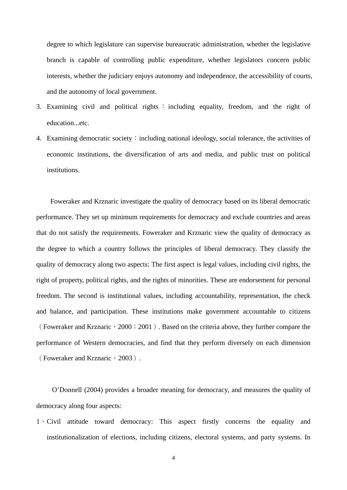degree to which legislature can supervise bureaucratic administration, whether the legislative branch is capable of controlling public expenditure, whether legislators concern public interests, whether the judiciary enjoys autonomy and independence, the accessibility of courts, and the autonomy of local government.

- 3. Examining civil and political rights : including equality, freedom, and the right of education...etc.
- 4. Examining democratic society: including national ideology, social tolerance, the activities of economic institutions, the diversification of arts and media, and public trust on political institutions.

Foweraker and Krznaric investigate the quality of democracy based on its liberal democratic performance. They set up minimum requirements for democracy and exclude countries and areas that do not satisfy the requirements. Foweraker and Krznaric view the quality of democracy as the degree to which a country follows the principles of liberal democracy. They classify the quality of democracy along two aspects: The first aspect is legal values, including civil rights, the right of property, political rights, and the rights of minorities. These are endorsement for personal freedom. The second is institutional values, including accountability, representation, the check and balance, and participation. These institutions make government accountable to citizens (Foweraker and Krznaric, 2000; 2001). Based on the criteria above, they further compare the performance of Western democracies, and find that they perform diversely on each dimension (Foweraker and Krznaric, 2003).

O'Donnell (2004) provides a broader meaning for democracy, and measures the quality of democracy along four aspects:

1、Civil attitude toward democracy: This aspect firstly concerns the equality and institutionalization of elections, including citizens, electoral systems, and party systems. In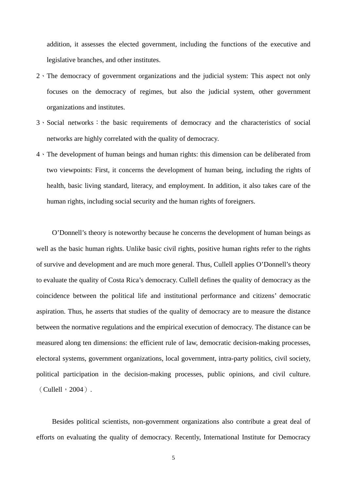addition, it assesses the elected government, including the functions of the executive and legislative branches, and other institutes.

- 2、The democracy of government organizations and the judicial system: This aspect not only focuses on the democracy of regimes, but also the judicial system, other government organizations and institutes.
- 3、Social networks: the basic requirements of democracy and the characteristics of social networks are highly correlated with the quality of democracy.
- 4、The development of human beings and human rights: this dimension can be deliberated from two viewpoints: First, it concerns the development of human being, including the rights of health, basic living standard, literacy, and employment. In addition, it also takes care of the human rights, including social security and the human rights of foreigners.

O'Donnell's theory is noteworthy because he concerns the development of human beings as well as the basic human rights. Unlike basic civil rights, positive human rights refer to the rights of survive and development and are much more general. Thus, Cullell applies O'Donnell's theory to evaluate the quality of Costa Rica's democracy. Cullell defines the quality of democracy as the coincidence between the political life and institutional performance and citizens' democratic aspiration. Thus, he asserts that studies of the quality of democracy are to measure the distance between the normative regulations and the empirical execution of democracy. The distance can be measured along ten dimensions: the efficient rule of law, democratic decision-making processes, electoral systems, government organizations, local government, intra-party politics, civil society, political participation in the decision-making processes, public opinions, and civil culture.  $(Cu$ llell,  $2004)$ .

Besides political scientists, non-government organizations also contribute a great deal of efforts on evaluating the quality of democracy. Recently, International Institute for Democracy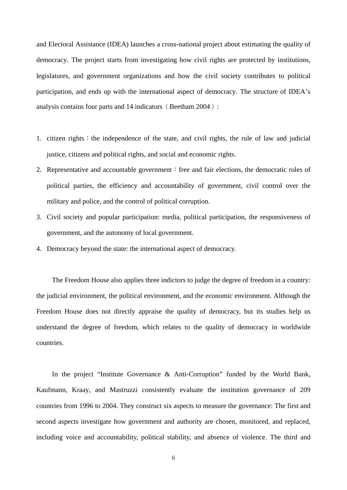and Electoral Assistance (IDEA) launches a cross-national project about estimating the quality of democracy. The project starts from investigating how civil rights are protected by institutions, legislatures, and government organizations and how the civil society contributes to political participation, and ends up with the international aspect of democracy. The structure of IDEA's analysis contains four parts and 14 indicators (Beetham 2004):

- 1. citizen rights: the independence of the state, and civil rights, the rule of law and judicial justice, citizens and political rights, and social and economic rights.
- 2. Representative and accountable government: free and fair elections, the democratic roles of political parties, the efficiency and accountability of government, civil control over the military and police, and the control of political corruption.
- 3. Civil society and popular participation: media, political participation, the responsiveness of government, and the autonomy of local government.
- 4. Democracy beyond the state: the international aspect of democracy.

The Freedom House also applies three indictors to judge the degree of freedom in a country: the judicial environment, the political environment, and the economic environment. Although the Freedom House does not directly appraise the quality of democracy, but its studies help us understand the degree of freedom, which relates to the quality of democracy in worldwide countries.

In the project "Institute Governance & Anti-Corruption" funded by the World Bank, Kaufmann, Kraay, and Mastruzzi consistently evaluate the institution governance of 209 countries from 1996 to 2004. They construct six aspects to measure the governance: The first and second aspects investigate how government and authority are chosen, monitored, and replaced, including voice and accountability, political stability, and absence of violence. The third and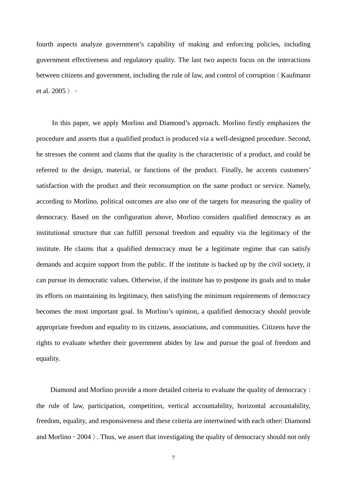fourth aspects analyze government's capability of making and enforcing policies, including government effectiveness and regulatory quality. The last two aspects focus on the interactions between citizens and government, including the rule of law, and control of corruption (Kaufmann et al. 2005)。

In this paper, we apply Morlino and Diamond's approach. Morlino firstly emphasizes the procedure and asserts that a qualified product is produced via a well-designed procedure. Second, he stresses the content and claims that the quality is the characteristic of a product, and could be referred to the design, material, or functions of the product. Finally, he accents customers' satisfaction with the product and their reconsumption on the same product or service. Namely, according to Morlino, political outcomes are also one of the targets for measuring the quality of democracy. Based on the configuration above, Morlino considers qualified democracy as an institutional structure that can fulfill personal freedom and equality via the legitimacy of the institute. He claims that a qualified democracy must be a legitimate regime that can satisfy demands and acquire support from the public. If the institute is backed up by the civil society, it can pursue its democratic values. Otherwise, if the institute has to postpone its goals and to make its efforts on maintaining its legitimacy, then satisfying the minimum requirements of democracy becomes the most important goal. In Morlino's opinion, a qualified democracy should provide appropriate freedom and equality to its citizens, associations, and communities. Citizens have the rights to evaluate whether their government abides by law and pursue the goal of freedom and equality.

Diamond and Morlino provide a more detailed criteria to evaluate the quality of democracy : the rule of law, participation, competition, vertical accountability, horizontal accountability, freedom, equality, and responsiveness and these criteria are intertwined with each other(Diamond and Morlino,  $2004$ ). Thus, we assert that investigating the quality of democracy should not only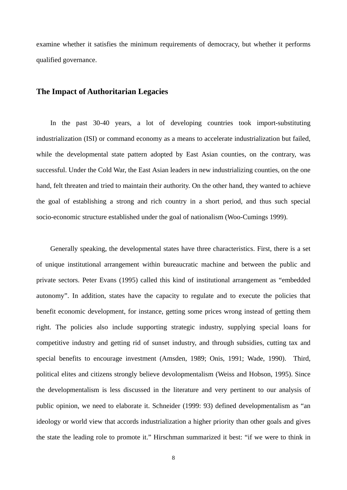examine whether it satisfies the minimum requirements of democracy, but whether it performs qualified governance.

#### **The Impact of Authoritarian Legacies**

In the past 30-40 years, a lot of developing countries took import-substituting industrialization (ISI) or command economy as a means to accelerate industrialization but failed, while the developmental state pattern adopted by East Asian counties, on the contrary, was successful. Under the Cold War, the East Asian leaders in new industrializing counties, on the one hand, felt threaten and tried to maintain their authority. On the other hand, they wanted to achieve the goal of establishing a strong and rich country in a short period, and thus such special socio-economic structure established under the goal of nationalism (Woo-Cumings 1999).

Generally speaking, the developmental states have three characteristics. First, there is a set of unique institutional arrangement within bureaucratic machine and between the public and private sectors. Peter Evans (1995) called this kind of institutional arrangement as "embedded autonomy". In addition, states have the capacity to regulate and to execute the policies that benefit economic development, for instance, getting some prices wrong instead of getting them right. The policies also include supporting strategic industry, supplying special loans for competitive industry and getting rid of sunset industry, and through subsidies, cutting tax and special benefits to encourage investment (Amsden, 1989; Onis, 1991; Wade, 1990). Third, political elites and citizens strongly believe devolopmentalism (Weiss and Hobson, 1995). Since the developmentalism is less discussed in the literature and very pertinent to our analysis of public opinion, we need to elaborate it. Schneider (1999: 93) defined developmentalism as "an ideology or world view that accords industrialization a higher priority than other goals and gives the state the leading role to promote it." Hirschman summarized it best: "if we were to think in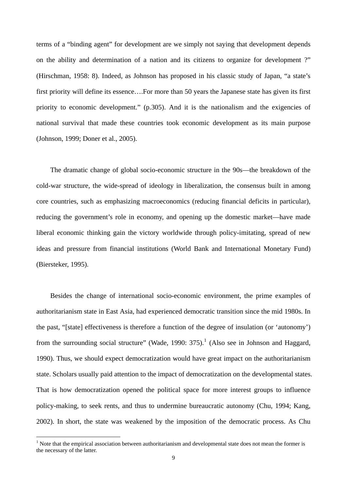<span id="page-10-0"></span>terms of a "binding agent" for development are we simply not saying that development depends on the ability and determination of a nation and its citizens to organize for development ?" (Hirschman, 1958: 8). Indeed, as Johnson has proposed in his classic study of Japan, "a state's first priority will define its essence….For more than 50 years the Japanese state has given its first priority to economic development." (p.305). And it is the nationalism and the exigencies of national survival that made these countries took economic development as its main purpose (Johnson, 1999; Doner et al., 2005).

The dramatic change of global socio-economic structure in the 90s—the breakdown of the cold-war structure, the wide-spread of ideology in liberalization, the consensus built in among core countries, such as emphasizing macroeconomics (reducing financial deficits in particular), reducing the government's role in economy, and opening up the domestic market—have made liberal economic thinking gain the victory worldwide through policy-imitating, spread of new ideas and pressure from financial institutions (World Bank and International Monetary Fund) (Biersteker, 1995).

Besides the change of international socio-economic environment, the prime examples of authoritarianism state in East Asia, had experienced democratic transition since the mid 1980s. In the past, "[state] effectiveness is therefore a function of the degree of insulation (or 'autonomy') from the surrounding social structure" (Wade, [1](#page-10-0)990: 375).<sup>1</sup> (Also see in Johnson and Haggard, 1990). Thus, we should expect democratization would have great impact on the authoritarianism state. Scholars usually paid attention to the impact of democratization on the developmental states. That is how democratization opened the political space for more interest groups to influence policy-making, to seek rents, and thus to undermine bureaucratic autonomy (Chu, 1994; Kang, 2002). In short, the state was weakened by the imposition of the democratic process. As Chu

 $\overline{a}$ 

 $<sup>1</sup>$  Note that the empirical association between authoritarianism and developmental state does not mean the former is</sup> the necessary of the latter.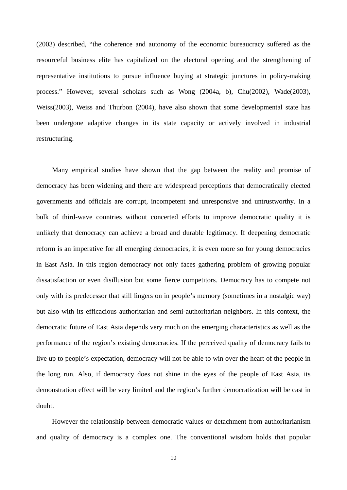(2003) described, "the coherence and autonomy of the economic bureaucracy suffered as the resourceful business elite has capitalized on the electoral opening and the strengthening of representative institutions to pursue influence buying at strategic junctures in policy-making process." However, several scholars such as Wong (2004a, b), Chu(2002), Wade(2003), Weiss(2003), Weiss and Thurbon (2004), have also shown that some developmental state has been undergone adaptive changes in its state capacity or actively involved in industrial restructuring.

Many empirical studies have shown that the gap between the reality and promise of democracy has been widening and there are widespread perceptions that democratically elected governments and officials are corrupt, incompetent and unresponsive and untrustworthy. In a bulk of third-wave countries without concerted efforts to improve democratic quality it is unlikely that democracy can achieve a broad and durable legitimacy. If deepening democratic reform is an imperative for all emerging democracies, it is even more so for young democracies in East Asia. In this region democracy not only faces gathering problem of growing popular dissatisfaction or even disillusion but some fierce competitors. Democracy has to compete not only with its predecessor that still lingers on in people's memory (sometimes in a nostalgic way) but also with its efficacious authoritarian and semi-authoritarian neighbors. In this context, the democratic future of East Asia depends very much on the emerging characteristics as well as the performance of the region's existing democracies. If the perceived quality of democracy fails to live up to people's expectation, democracy will not be able to win over the heart of the people in the long run. Also, if democracy does not shine in the eyes of the people of East Asia, its demonstration effect will be very limited and the region's further democratization will be cast in doubt.

However the relationship between democratic values or detachment from authoritarianism and quality of democracy is a complex one. The conventional wisdom holds that popular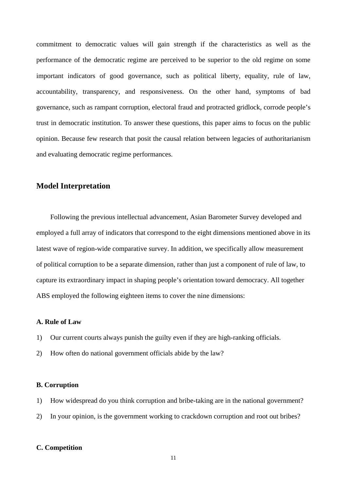commitment to democratic values will gain strength if the characteristics as well as the performance of the democratic regime are perceived to be superior to the old regime on some important indicators of good governance, such as political liberty, equality, rule of law, accountability, transparency, and responsiveness. On the other hand, symptoms of bad governance, such as rampant corruption, electoral fraud and protracted gridlock, corrode people's trust in democratic institution. To answer these questions, this paper aims to focus on the public opinion. Because few research that posit the causal relation between legacies of authoritarianism and evaluating democratic regime performances.

#### **Model Interpretation**

Following the previous intellectual advancement, Asian Barometer Survey developed and employed a full array of indicators that correspond to the eight dimensions mentioned above in its latest wave of region-wide comparative survey. In addition, we specifically allow measurement of political corruption to be a separate dimension, rather than just a component of rule of law, to capture its extraordinary impact in shaping people's orientation toward democracy. All together ABS employed the following eighteen items to cover the nine dimensions:

#### **A. Rule of Law**

- 1) Our current courts always punish the guilty even if they are high-ranking officials.
- 2) How often do national government officials abide by the law?

#### **B. Corruption**

- 1) How widespread do you think corruption and bribe-taking are in the national government?
- 2) In your opinion, is the government working to crackdown corruption and root out bribes?

#### **C. Competition**

11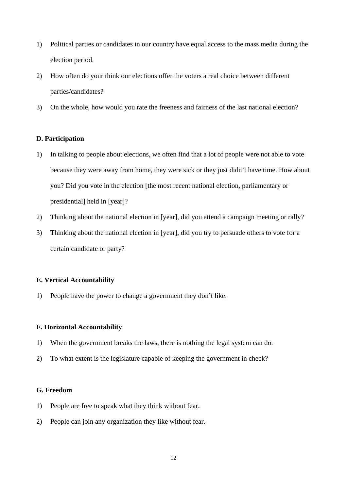- 1) Political parties or candidates in our country have equal access to the mass media during the election period.
- 2) How often do your think our elections offer the voters a real choice between different parties/candidates?
- 3) On the whole, how would you rate the freeness and fairness of the last national election?

#### **D. Participation**

- 1) In talking to people about elections, we often find that a lot of people were not able to vote because they were away from home, they were sick or they just didn't have time. How about you? Did you vote in the election [the most recent national election, parliamentary or presidential] held in [year]?
- 2) Thinking about the national election in [year], did you attend a campaign meeting or rally?
- 3) Thinking about the national election in [year], did you try to persuade others to vote for a certain candidate or party?

#### **E. Vertical Accountability**

1) People have the power to change a government they don't like.

#### **F. Horizontal Accountability**

- 1) When the government breaks the laws, there is nothing the legal system can do.
- 2) To what extent is the legislature capable of keeping the government in check?

#### **G. Freedom**

- 1) People are free to speak what they think without fear.
- 2) People can join any organization they like without fear.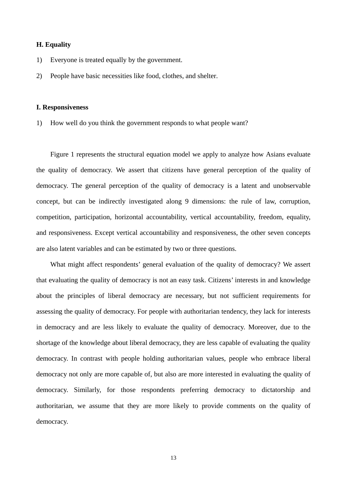#### **H. Equality**

- 1) Everyone is treated equally by the government.
- 2) People have basic necessities like food, clothes, and shelter.

#### **I. Responsiveness**

1) How well do you think the government responds to what people want?

Figure 1 represents the structural equation model we apply to analyze how Asians evaluate the quality of democracy. We assert that citizens have general perception of the quality of democracy. The general perception of the quality of democracy is a latent and unobservable concept, but can be indirectly investigated along 9 dimensions: the rule of law, corruption, competition, participation, horizontal accountability, vertical accountability, freedom, equality, and responsiveness. Except vertical accountability and responsiveness, the other seven concepts are also latent variables and can be estimated by two or three questions.

What might affect respondents' general evaluation of the quality of democracy? We assert that evaluating the quality of democracy is not an easy task. Citizens' interests in and knowledge about the principles of liberal democracy are necessary, but not sufficient requirements for assessing the quality of democracy. For people with authoritarian tendency, they lack for interests in democracy and are less likely to evaluate the quality of democracy. Moreover, due to the shortage of the knowledge about liberal democracy, they are less capable of evaluating the quality democracy. In contrast with people holding authoritarian values, people who embrace liberal democracy not only are more capable of, but also are more interested in evaluating the quality of democracy. Similarly, for those respondents preferring democracy to dictatorship and authoritarian, we assume that they are more likely to provide comments on the quality of democracy.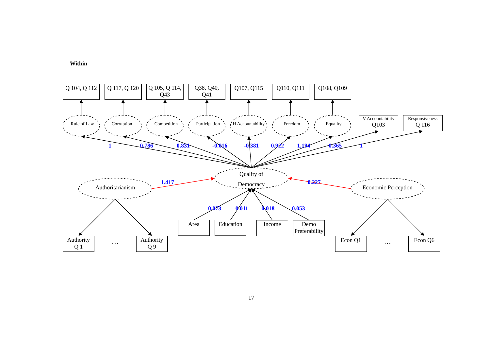



17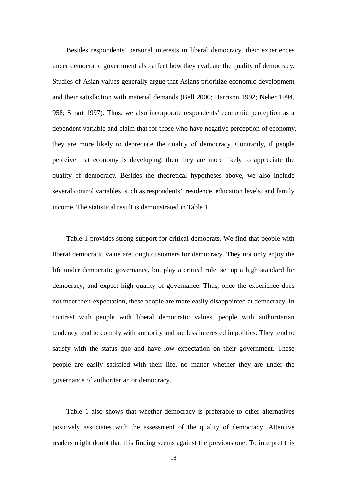Besides respondents' personal interests in liberal democracy, their experiences under democratic government also affect how they evaluate the quality of democracy. Studies of Asian values generally argue that Asians prioritize economic development and their satisfaction with material demands (Bell 2000; Harrison 1992; Neher 1994, 958; Smart 1997). Thus, we also incorporate respondents' economic perception as a dependent variable and claim that for those who have negative perception of economy, they are more likely to depreciate the quality of democracy. Contrarily, if people perceive that economy is developing, then they are more likely to appreciate the quality of democracy. Besides the theoretical hypotheses above, we also include several control variables, such as respondents'' residence, education levels, and family income. The statistical result is demonstrated in Table 1.

Table 1 provides strong support for critical democrats. We find that people with liberal democratic value are tough customers for democracy. They not only enjoy the life under democratic governance, but play a critical role, set up a high standard for democracy, and expect high quality of governance. Thus, once the experience does not meet their expectation, these people are more easily disappointed at democracy. In contrast with people with liberal democratic values, people with authoritarian tendency tend to comply with authority and are less interested in politics. They tend to satisfy with the status quo and have low expectation on their government. These people are easily satisfied with their life, no matter whether they are under the governance of authoritarian or democracy.

Table 1 also shows that whether democracy is preferable to other alternatives positively associates with the assessment of the quality of democracy. Attentive readers might doubt that this finding seems against the previous one. To interpret this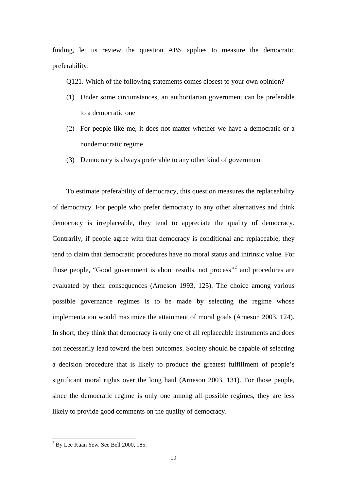<span id="page-17-0"></span>finding, let us review the question ABS applies to measure the democratic preferability:

Q121. Which of the following statements comes closest to your own opinion?

- (1) Under some circumstances, an authoritarian government can be preferable to a democratic one
- (2) For people like me, it does not matter whether we have a democratic or a nondemocratic regime
- (3) Democracy is always preferable to any other kind of government

To estimate preferability of democracy, this question measures the replaceability of democracy. For people who prefer democracy to any other alternatives and think democracy is irreplaceable, they tend to appreciate the quality of democracy. Contrarily, if people agree with that democracy is conditional and replaceable, they tend to claim that democratic procedures have no moral status and intrinsic value. For those people, "Good government is about results, not process"<sup>[2](#page-17-0)</sup> and procedures are evaluated by their consequences (Arneson 1993, 125). The choice among various possible governance regimes is to be made by selecting the regime whose implementation would maximize the attainment of moral goals (Arneson 2003, 124). In short, they think that democracy is only one of all replaceable instruments and does not necessarily lead toward the best outcomes. Society should be capable of selecting a decision procedure that is likely to produce the greatest fulfillment of people's significant moral rights over the long haul (Arneson 2003, 131). For those people, since the democratic regime is only one among all possible regimes, they are less likely to provide good comments on the quality of democracy.

<sup>&</sup>lt;sup>2</sup> By Lee Kuan Yew. See Bell 2000, 185.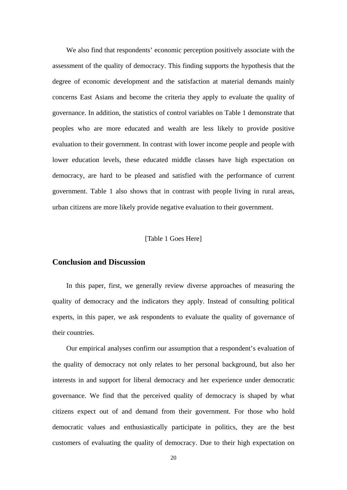We also find that respondents' economic perception positively associate with the assessment of the quality of democracy. This finding supports the hypothesis that the degree of economic development and the satisfaction at material demands mainly concerns East Asians and become the criteria they apply to evaluate the quality of governance. In addition, the statistics of control variables on Table 1 demonstrate that peoples who are more educated and wealth are less likely to provide positive evaluation to their government. In contrast with lower income people and people with lower education levels, these educated middle classes have high expectation on democracy, are hard to be pleased and satisfied with the performance of current government. Table 1 also shows that in contrast with people living in rural areas, urban citizens are more likely provide negative evaluation to their government.

#### [Table 1 Goes Here]

#### **Conclusion and Discussion**

In this paper, first, we generally review diverse approaches of measuring the quality of democracy and the indicators they apply. Instead of consulting political experts, in this paper, we ask respondents to evaluate the quality of governance of their countries.

Our empirical analyses confirm our assumption that a respondent's evaluation of the quality of democracy not only relates to her personal background, but also her interests in and support for liberal democracy and her experience under democratic governance. We find that the perceived quality of democracy is shaped by what citizens expect out of and demand from their government. For those who hold democratic values and enthusiastically participate in politics, they are the best customers of evaluating the quality of democracy. Due to their high expectation on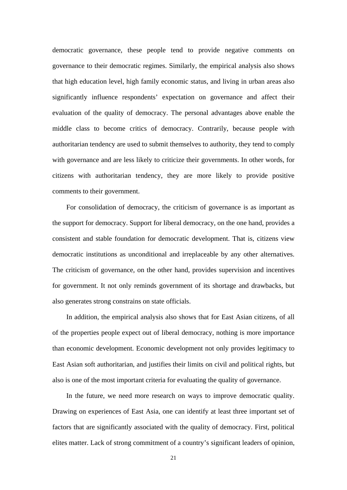democratic governance, these people tend to provide negative comments on governance to their democratic regimes. Similarly, the empirical analysis also shows that high education level, high family economic status, and living in urban areas also significantly influence respondents' expectation on governance and affect their evaluation of the quality of democracy. The personal advantages above enable the middle class to become critics of democracy. Contrarily, because people with authoritarian tendency are used to submit themselves to authority, they tend to comply with governance and are less likely to criticize their governments. In other words, for citizens with authoritarian tendency, they are more likely to provide positive comments to their government.

For consolidation of democracy, the criticism of governance is as important as the support for democracy. Support for liberal democracy, on the one hand, provides a consistent and stable foundation for democratic development. That is, citizens view democratic institutions as unconditional and irreplaceable by any other alternatives. The criticism of governance, on the other hand, provides supervision and incentives for government. It not only reminds government of its shortage and drawbacks, but also generates strong constrains on state officials.

In addition, the empirical analysis also shows that for East Asian citizens, of all of the properties people expect out of liberal democracy, nothing is more importance than economic development. Economic development not only provides legitimacy to East Asian soft authoritarian, and justifies their limits on civil and political rights, but also is one of the most important criteria for evaluating the quality of governance.

In the future, we need more research on ways to improve democratic quality. Drawing on experiences of East Asia, one can identify at least three important set of factors that are significantly associated with the quality of democracy. First, political elites matter. Lack of strong commitment of a country's significant leaders of opinion,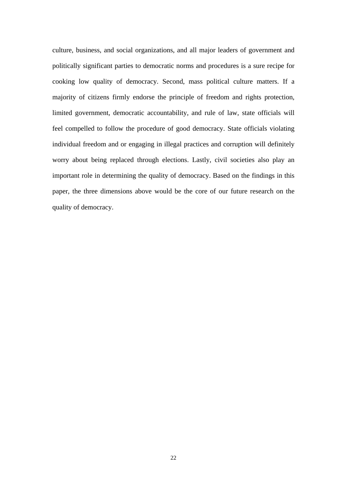culture, business, and social organizations, and all major leaders of government and politically significant parties to democratic norms and procedures is a sure recipe for cooking low quality of democracy. Second, mass political culture matters. If a majority of citizens firmly endorse the principle of freedom and rights protection, limited government, democratic accountability, and rule of law, state officials will feel compelled to follow the procedure of good democracy. State officials violating individual freedom and or engaging in illegal practices and corruption will definitely worry about being replaced through elections. Lastly, civil societies also play an important role in determining the quality of democracy. Based on the findings in this paper, the three dimensions above would be the core of our future research on the quality of democracy.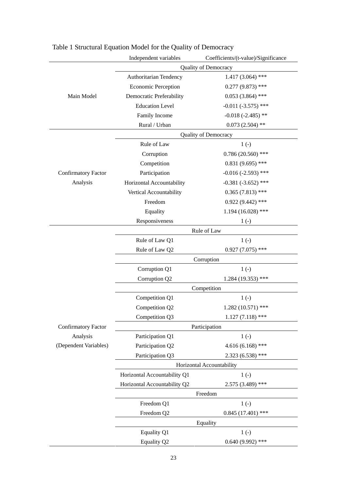|                                                                 | Independent variables           | Coefficients/(t-value)/Significance |  |
|-----------------------------------------------------------------|---------------------------------|-------------------------------------|--|
|                                                                 | Quality of Democracy            |                                     |  |
| Main Model                                                      | Authoritarian Tendency          | $1.417(3.064)$ ***                  |  |
|                                                                 | <b>Economic Perception</b>      | $0.277(9.873)$ ***                  |  |
|                                                                 | <b>Democratic Preferability</b> | $0.053(3.864)$ ***                  |  |
|                                                                 | <b>Education Level</b>          | $-0.011(-3.575)$ ***                |  |
|                                                                 | Family Income                   | $-0.018(-2.485)$ **                 |  |
|                                                                 | Rural / Urban                   | $0.073(2.504)$ **                   |  |
|                                                                 | <b>Quality of Democracy</b>     |                                     |  |
| <b>Confirmatory Factor</b><br>Analysis                          | Rule of Law                     | $1(-)$                              |  |
|                                                                 | Corruption                      | $0.786(20.560)$ ***                 |  |
|                                                                 | Competition                     | $0.831(9.695)$ ***                  |  |
|                                                                 | Participation                   | $-0.016(-2.593)$ ***                |  |
|                                                                 | Horizontal Accountability       | $-0.381 (-3.652)$ ***               |  |
|                                                                 | Vertical Accountability         | $0.365(7.813)$ ***                  |  |
|                                                                 | Freedom                         | $0.922(9.442)$ ***                  |  |
|                                                                 | Equality                        | $1.194(16.028)$ ***                 |  |
|                                                                 | Responsiveness                  | $1(-)$                              |  |
|                                                                 | Rule of Law                     |                                     |  |
| <b>Confirmatory Factor</b><br>Analysis<br>(Dependent Variables) | Rule of Law Q1                  | $1(-)$                              |  |
|                                                                 | Rule of Law Q2                  | $0.927(7.075)$ ***                  |  |
|                                                                 | Corruption                      |                                     |  |
|                                                                 | Corruption Q1                   | $1(-)$                              |  |
|                                                                 | Corruption Q2                   | $1.284(19.353)$ ***                 |  |
|                                                                 | Competition                     |                                     |  |
|                                                                 | Competition Q1                  | $1(-)$                              |  |
|                                                                 | Competition Q2                  | $1.282(10.571)$ ***                 |  |
|                                                                 | Competition Q3                  | $1.127(7.118)$ ***                  |  |
|                                                                 | Participation                   |                                     |  |
|                                                                 | Participation Q1                | $1(-)$                              |  |
|                                                                 | Participation Q2                | $4.616(6.168)$ ***                  |  |
|                                                                 | Participation Q3                | $2.323(6.538)$ ***                  |  |
|                                                                 | Horizontal Accountability       |                                     |  |
|                                                                 | Horizontal Accountability Q1    | $1(-)$                              |  |
|                                                                 | Horizontal Accountability Q2    | $2.575(3.489)$ ***                  |  |
|                                                                 | Freedom                         |                                     |  |
|                                                                 | Freedom Q1                      | $1(-)$                              |  |
|                                                                 | Freedom Q2                      | $0.845(17.401)$ ***                 |  |
|                                                                 | Equality                        |                                     |  |
|                                                                 | Equality Q1                     | $1(-)$                              |  |
|                                                                 | Equality Q2                     | $0.640(9.992)$ ***                  |  |

# Table 1 Structural Equation Model for the Quality of Democracy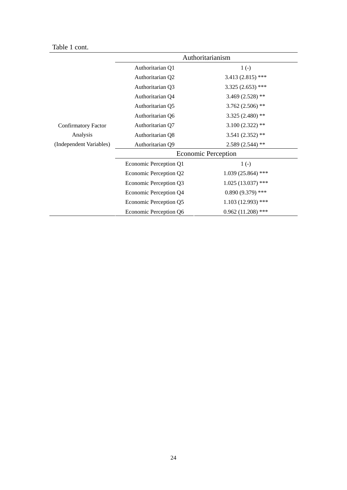# Table 1 cont.

|                            | Authoritarianism           |                     |  |
|----------------------------|----------------------------|---------------------|--|
|                            | Authoritarian Q1           | $1(-)$              |  |
|                            | Authoritarian Q2           | $3.413(2.815)$ ***  |  |
|                            | Authoritarian Q3           | $3.325(2.653)$ ***  |  |
|                            | Authoritarian Q4           | 3.469 $(2.528)$ **  |  |
|                            | Authoritarian Q5           | $3.762(2.506)$ **   |  |
|                            | Authoritarian Q6           | $3.325(2.480)$ **   |  |
| <b>Confirmatory Factor</b> | Authoritarian Q7           | $3.100(2.322)$ **   |  |
| Analysis                   | Authoritarian Q8           | $3.541(2.352)$ **   |  |
| (Independent Variables)    | Authoritarian Q9           | $2.589(2.544)$ **   |  |
|                            | <b>Economic Perception</b> |                     |  |
|                            | Economic Perception Q1     | $1(-)$              |  |
|                            | Economic Perception Q2     | $1.039(25.864)$ *** |  |
|                            | Economic Perception Q3     | $1.025(13.037)$ *** |  |
|                            | Economic Perception Q4     | $0.890(9.379)$ ***  |  |
|                            | Economic Perception Q5     | $1.103(12.993)$ *** |  |
|                            | Economic Perception Q6     | $0.962(11.208)$ *** |  |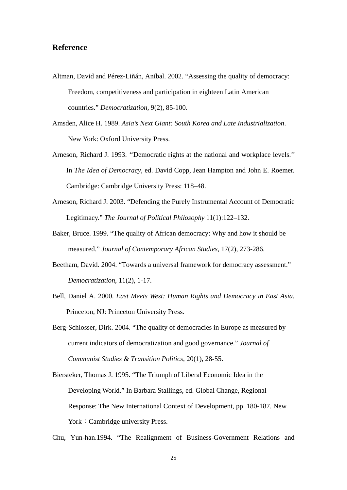#### **Reference**

- Altman, David and Pérez-Liñán, Aníbal. 2002. "Assessing the quality of democracy: Freedom, competitiveness and participation in eighteen Latin American countries." *Democratization,* 9(2), 85-100.
- Amsden, Alice H. 1989. *Asia's Next Giant: South Korea and Late Industrialization*. New York: Oxford University Press.
- Arneson, Richard J. 1993. ''Democratic rights at the national and workplace levels.'' In *The Idea of Democracy*, ed. David Copp, Jean Hampton and John E. Roemer. Cambridge: Cambridge University Press: 118–48.
- Arneson, Richard J. 2003. "Defending the Purely Instrumental Account of Democratic Legitimacy." *The Journal of Political Philosophy* 11(1):122–132.
- Baker, Bruce. 1999. "The quality of African democracy: Why and how it should be measured." *Journal of Contemporary African Studies,* 17(2), 273-286.
- Beetham, David. 2004. "Towards a universal framework for democracy assessment." *Democratization*, 11(2), 1-17.
- Bell, Daniel A. 2000. *East Meets West: Human Rights and Democracy in East Asia*. Princeton, NJ: Princeton University Press.
- Berg-Schlosser, Dirk. 2004. "The quality of democracies in Europe as measured by current indicators of democratization and good governance." *Journal of Communist Studies & Transition Politics,* 20(1), 28-55.
- Biersteker, Thomas J. 1995. "The Triumph of Liberal Economic Idea in the Developing World." In Barbara Stallings, ed. Global Change, Regional Response: The New International Context of Development, pp. 180-187. New York: Cambridge university Press.

Chu, Yun-han.1994. "The Realignment of Business-Government Relations and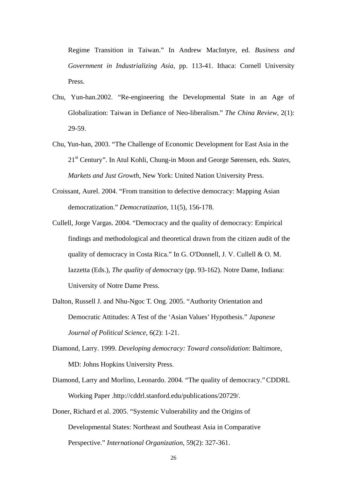Regime Transition in Taiwan." In Andrew MacIntyre, ed. *Business and Government in Industrializing Asia*, pp. 113-41. Ithaca: Cornell University Press.

- Chu, Yun-han.2002. "[Re-engineering the Developmental State in an Age of](http://www.chineseupress.com/promotion/China%20Review/pdf_files/2-1(Chu).pdf)  [Globalization: Taiwan in Defiance of Neo-liberalism](http://www.chineseupress.com/promotion/China%20Review/pdf_files/2-1(Chu).pdf)." *The China Review*, 2(1): 29-59.
- Chu, Yun-han, 2003. "The Challenge of Economic Development for East Asia in the 21st Century". In Atul Kohli, Chung-in Moon and George Sørensen, eds. *States, Markets and Just Growth*, New York: United Nation University Press.
- Croissant, Aurel. 2004. "From transition to defective democracy: Mapping Asian democratization." *Democratization,* 11(5), 156-178.
- Cullell, Jorge Vargas. 2004. "Democracy and the quality of democracy: Empirical findings and methodological and theoretical drawn from the citizen audit of the quality of democracy in Costa Rica." In G. O'Donnell, J. V. Cullell & O. M. Iazzetta (Eds.), *The quality of democracy* (pp. 93-162). Notre Dame, Indiana: University of Notre Dame Press.
- Dalton, Russell J. and Nhu-Ngoc T. Ong. 2005. "Authority Orientation and Democratic Attitudes: A Test of the 'Asian Values' Hypothesis." *Japanese Journal of Political Science*, 6(2): 1-21.
- Diamond, Larry. 1999. *Developing democracy: Toward consolidation*: Baltimore, MD: Johns Hopkins University Press.
- Diamond, Larry and Morlino, Leonardo. 2004. "The quality of democracy."CDDRL Working Paper .http://cddrl.stanford.edu/publications/20729/.
- Doner, Richard et al. 2005. "Systemic Vulnerability and the Origins of Developmental States: Northeast and Southeast Asia in Comparative Perspective." *International Organization*, 59(2): 327-361.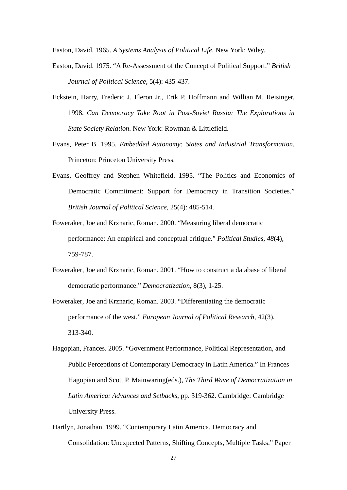Easton, David. 1965. *A Systems Analysis of Political Life*. New York: Wiley.

- Easton, David. 1975. "A Re-Assessment of the Concept of Political Support." *British Journal of Political Science*, 5(4): 435-437.
- Eckstein, Harry, Frederic J. Fleron Jr., Erik P. Hoffmann and Willian M. Reisinger. 1998. *Can Democracy Take Root in Post-Soviet Russia: The Explorations in State Society Relation*. New York: Rowman & Littlefield.
- Evans, Peter B. 1995. *Embedded Autonomy: States and Industrial Transformation*. Princeton: Princeton University Press.
- Evans, Geoffrey and Stephen Whitefield. 1995. "The Politics and Economics of Democratic Commitment: Support for Democracy in Transition Societies." *British Journal of Political Science*, 25(4): 485-514.
- Foweraker, Joe and Krznaric, Roman. 2000. "Measuring liberal democratic performance: An empirical and conceptual critique." *Political Studies, 48*(4), 759-787.
- Foweraker, Joe and Krznaric, Roman. 2001. "How to construct a database of liberal democratic performance." *Democratization,* 8(3), 1-25.
- Foweraker, Joe and Krznaric, Roman. 2003. "Differentiating the democratic performance of the west." *European Journal of Political Research,* 42(3), 313-340.
- Hagopian, Frances. 2005. "Government Performance, Political Representation, and Public Perceptions of Contemporary Democracy in Latin America." In Frances Hagopian and Scott P. Mainwaring(eds.), *The Third Wave of Democratization in Latin America: Advances and Setbacks*, pp. 319-362. Cambridge: Cambridge University Press.
- Hartlyn, Jonathan. 1999. "Contemporary Latin America, Democracy and Consolidation: Unexpected Patterns, Shifting Concepts, Multiple Tasks." Paper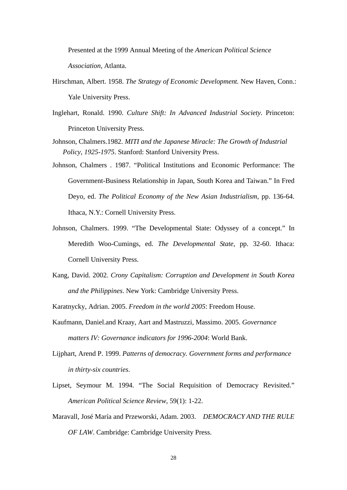Presented at the 1999 Annual Meeting of the *American Political Science Association*, Atlanta.

- Hirschman, Albert. 1958. *The Strategy of Economic Development.* New Haven, Conn.: Yale University Press.
- Inglehart, Ronald. 1990. *Culture Shift: In Advanced Industrial Society*. Princeton: Princeton University Press.
- Johnson, Chalmers.1982. *MITI and the Japanese Miracle: The Growth of Industrial Policy*, *1925-1975*. Stanford: Stanford University Press.
- Johnson, Chalmers . 1987. "Political Institutions and Economic Performance: The Government-Business Relationship in Japan, South Korea and Taiwan." In Fred Deyo, ed. *The Political Economy of the New Asian Industrialism*, pp. 136-64. Ithaca, N.Y.: Cornell University Press.
- Johnson, Chalmers. 1999. "The Developmental State: Odyssey of a concept." In Meredith Woo-Cumings, ed. *The Developmental State*, pp. 32-60. Ithaca: Cornell University Press.
- Kang, David. 2002. *Crony Capitalism: Corruption and Development in South Korea and the Philippines*. New York: Cambridge University Press.

Karatnycky, Adrian. 2005. *Freedom in the world 2005*: Freedom House.

- Kaufmann, Daniel.and Kraay, Aart and Mastruzzi, Massimo. 2005. *Governance matters IV: Governance indicators for 1996-2004*: World Bank.
- Lijphart, Arend P. 1999. *Patterns of democracy. Government forms and performance in thirty-six countries*.
- Lipset, Seymour M. 1994. "The Social Requisition of Democracy Revisited." *American Political Science Review*, 59(1): 1-22.
- Maravall, José María and Przeworski, Adam. 2003. *DEMOCRACY AND THE RULE OF LAW*. Cambridge: Cambridge University Press.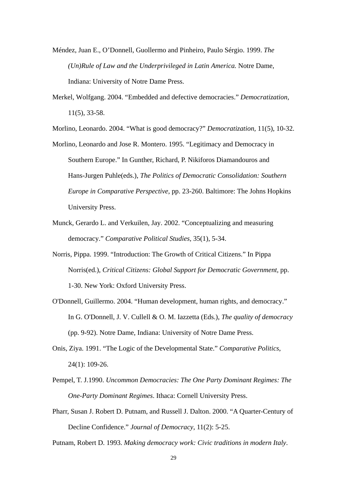- Méndez, Juan E., O'Donnell, Guollermo and Pinheiro, Paulo Sérgio. 1999. *The (Un)Rule of Law and the Underprivileged in Latin America.* Notre Dame, Indiana: University of Notre Dame Press.
- Merkel, Wolfgang. 2004. "Embedded and defective democracies." *Democratization,*  11(5), 33-58.

Morlino, Leonardo. 2004. "What is good democracy?" *Democratization,* 11(5), 10-32.

- Morlino, Leonardo and Jose R. Montero. 1995. "Legitimacy and Democracy in Southern Europe." In Gunther, Richard, P. Nikiforos Diamandouros and Hans-Jurgen Puhle(eds.), *The Politics of Democratic Consolidation: Southern Europe in Comparative Perspective*, pp. 23-260. Baltimore: The Johns Hopkins University Press.
- Munck, Gerardo L. and Verkuilen, Jay. 2002. "Conceptualizing and measuring democracy." *Comparative Political Studies,* 35(1), 5-34.
- Norris, Pippa. 1999. "Introduction: The Growth of Critical Citizens." In Pippa Norris(ed.), *Critical Citizens: Global Support for Democratic Government,* pp. 1-30. New York: Oxford University Press.
- O'Donnell, Guillermo. 2004. "Human development, human rights, and democracy." In G. O'Donnell, J. V. Cullell & O. M. Iazzetta (Eds.), *The quality of democracy* (pp. 9-92). Notre Dame, Indiana: University of Notre Dame Press.
- Onis, Ziya. 1991. "The Logic of the Developmental State." *Comparative Politics*, 24(1): 109-26.
- Pempel, T. J.1990. *Uncommon Democracies: The One Party Dominant Regimes: The One-Party Dominant Regimes*. Ithaca: Cornell University Press.
- Pharr, Susan J. Robert D. Putnam, and Russell J. Dalton. 2000. "A Quarter-Century of Decline Confidence." *Journal of Democracy*, 11(2): 5-25.

Putnam, Robert D. 1993. *Making democracy work: Civic traditions in modern Italy*.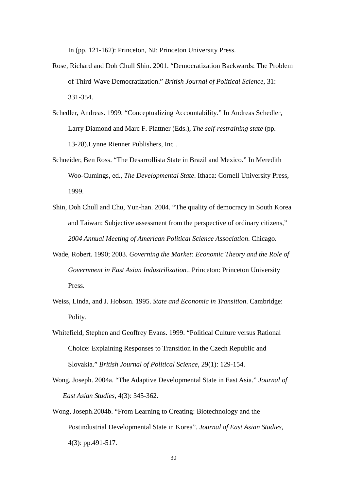In (pp. 121-162): Princeton, NJ: Princeton University Press.

- Rose, Richard and Doh Chull Shin. 2001. "Democratization Backwards: The Problem of Third-Wave Democratization." *British Journal of Political Science*, 31: 331-354.
- Schedler, Andreas. 1999. "Conceptualizing Accountability." In Andreas Schedler, Larry Diamond and Marc F. Plattner (Eds.), *The self-restraining state* (pp. 13-28).Lynne Rienner Publishers, Inc .
- Schneider, Ben Ross. "The Desarrollista State in Brazil and Mexico." In Meredith Woo-Cumings, ed., *The Developmental State*. Ithaca: Cornell University Press, 1999.
- Shin, Doh Chull and Chu, Yun-han. 2004. "The quality of democracy in South Korea and Taiwan: Subjective assessment from the perspective of ordinary citizens," *2004 Annual Meeting of American Political Science Association*. Chicago.
- Wade, Robert. 1990; 2003. *Governing the Market: Economic Theory and the Role of Government in East Asian Industrilization.*. Princeton: Princeton University Press.
- Weiss, Linda, and J. Hobson. 1995. *State and Economic in Transition*. Cambridge: Polity.
- Whitefield, Stephen and Geoffrey Evans. 1999. "Political Culture versus Rational Choice: Explaining Responses to Transition in the Czech Republic and Slovakia." *British Journal of Political Science*, 29(1): 129-154.
- Wong, Joseph. 2004a. "The Adaptive Developmental State in East Asia." *Journal of East Asian Studies*, 4(3): 345-362.
- Wong, Joseph.2004b. "From Learning to Creating: Biotechnology and the Postindustrial Developmental State in Korea". *Journal of East Asian Studies*, 4(3): pp.491-517.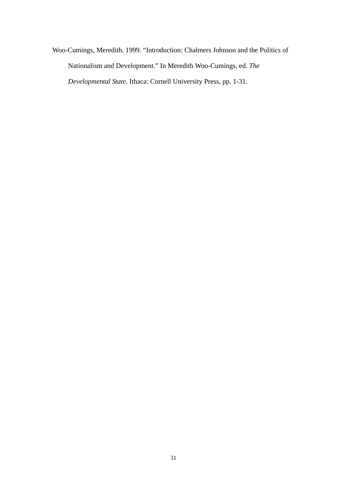Woo-Cumings, Meredith. 1999. "Introduction: Chalmers Johnson and the Politics of Nationalism and Development." In Meredith Woo-Cumings, ed. *The Developmental State*. Ithaca: Cornell University Press, pp. 1-31.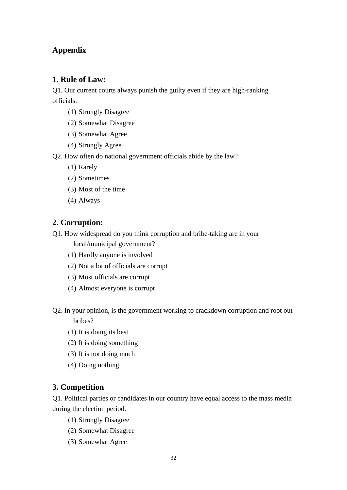# **Appendix**

# **1. Rule of Law:**

Q1. Our current courts always punish the guilty even if they are high-ranking officials.

- (1) Strongly Disagree
- (2) Somewhat Disagree
- (3) Somewhat Agree
- (4) Strongly Agree
- Q2. How often do national government officials abide by the law?
	- (1) Rarely
	- (2) Sometimes
	- (3) Most of the time
	- (4) Always

# **2. Corruption:**

Q1. How widespread do you think corruption and bribe-taking are in your

local/municipal government?

- (1) Hardly anyone is involved
- (2) Not a lot of officials are corrupt
- (3) Most officials are corrupt
- (4) Almost everyone is corrupt
- Q2. In your opinion, is the government working to crackdown corruption and root out bribes?
	- (1) It is doing its best
	- (2) It is doing something
	- (3) It is not doing much
	- (4) Doing nothing

# **3. Competition**

Q1. Political parties or candidates in our country have equal access to the mass media during the election period.

- (1) Strongly Disagree
- (2) Somewhat Disagree
- (3) Somewhat Agree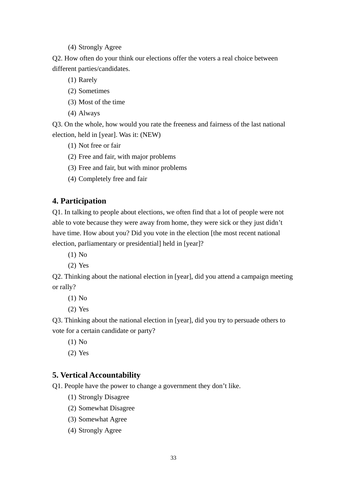(4) Strongly Agree

Q2. How often do your think our elections offer the voters a real choice between different parties/candidates.

- (1) Rarely
- (2) Sometimes
- (3) Most of the time
- (4) Always

Q3. On the whole, how would you rate the freeness and fairness of the last national election, held in [year]. Was it: (NEW)

- (1) Not free or fair
- (2) Free and fair, with major problems
- (3) Free and fair, but with minor problems
- (4) Completely free and fair

## **4. Participation**

Q1. In talking to people about elections, we often find that a lot of people were not able to vote because they were away from home, they were sick or they just didn't have time. How about you? Did you vote in the election [the most recent national election, parliamentary or presidential] held in [year]?

- (1) No
- (2) Yes

Q2. Thinking about the national election in [year], did you attend a campaign meeting or rally?

- (1) No
- (2) Yes

Q3. Thinking about the national election in [year], did you try to persuade others to vote for a certain candidate or party?

- (1) No
- (2) Yes

# **5. Vertical Accountability**

Q1. People have the power to change a government they don't like.

- (1) Strongly Disagree
- (2) Somewhat Disagree
- (3) Somewhat Agree
- (4) Strongly Agree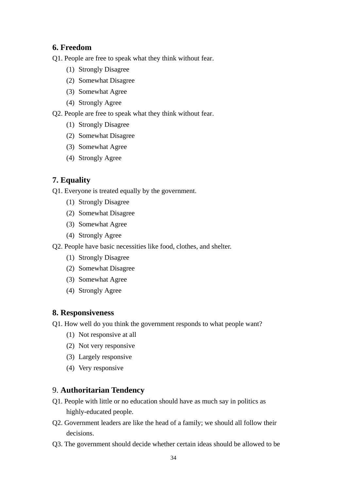## **6. Freedom**

- Q1. People are free to speak what they think without fear.
	- (1) Strongly Disagree
	- (2) Somewhat Disagree
	- (3) Somewhat Agree
	- (4) Strongly Agree
- Q2. People are free to speak what they think without fear.
	- (1) Strongly Disagree
	- (2) Somewhat Disagree
	- (3) Somewhat Agree
	- (4) Strongly Agree

## **7. Equality**

Q1. Everyone is treated equally by the government.

- (1) Strongly Disagree
- (2) Somewhat Disagree
- (3) Somewhat Agree
- (4) Strongly Agree
- Q2. People have basic necessities like food, clothes, and shelter.
	- (1) Strongly Disagree
	- (2) Somewhat Disagree
	- (3) Somewhat Agree
	- (4) Strongly Agree

#### **8. Responsiveness**

- Q1. How well do you think the government responds to what people want?
	- (1) Not responsive at all
	- (2) Not very responsive
	- (3) Largely responsive
	- (4) Very responsive

#### 9. **Authoritarian Tendency**

- Q1. People with little or no education should have as much say in politics as highly-educated people.
- Q2. Government leaders are like the head of a family; we should all follow their decisions.
- Q3. The government should decide whether certain ideas should be allowed to be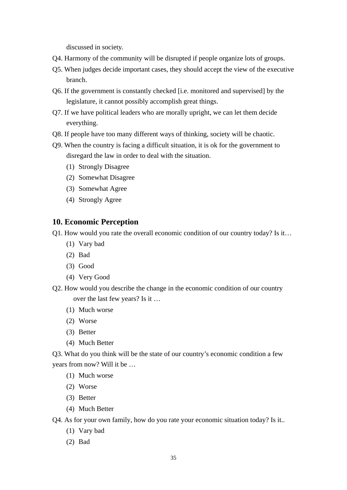discussed in society.

- Q4. Harmony of the community will be disrupted if people organize lots of groups.
- Q5. When judges decide important cases, they should accept the view of the executive branch.
- Q6. If the government is constantly checked [i.e. monitored and supervised] by the legislature, it cannot possibly accomplish great things.
- Q7. If we have political leaders who are morally upright, we can let them decide everything.
- Q8. If people have too many different ways of thinking, society will be chaotic.
- Q9. When the country is facing a difficult situation, it is ok for the government to disregard the law in order to deal with the situation.
	- (1) Strongly Disagree
	- (2) Somewhat Disagree
	- (3) Somewhat Agree
	- (4) Strongly Agree

## **10. Economic Perception**

Q1. How would you rate the overall economic condition of our country today? Is it…

- (1) Vary bad
- (2) Bad
- (3) Good
- (4) Very Good
- Q2. How would you describe the change in the economic condition of our country over the last few years? Is it …
	- (1) Much worse
	- (2) Worse
	- (3) Better
	- (4) Much Better

Q3. What do you think will be the state of our country's economic condition a few years from now? Will it be …

- (1) Much worse
- (2) Worse
- (3) Better
- (4) Much Better

Q4. As for your own family, how do you rate your economic situation today? Is it..

- (1) Vary bad
- (2) Bad